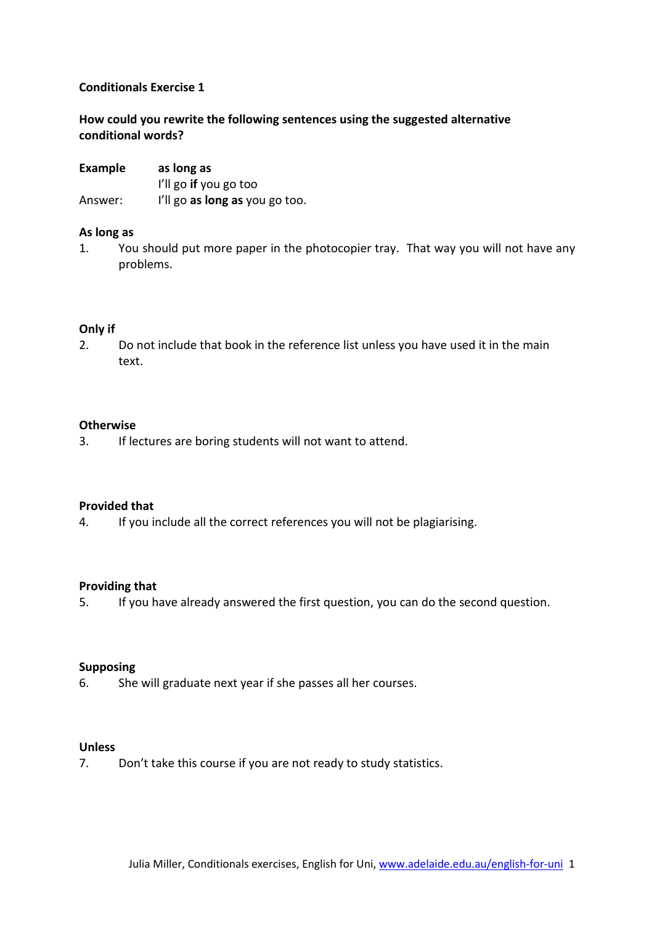## **Conditionals Exercise 1**

# **How could you rewrite the following sentences using the suggested alternative conditional words?**

| <b>Example</b> | as long as                     |
|----------------|--------------------------------|
|                | I'll go if you go too          |
| Answer:        | I'll go as long as you go too. |

### **As long as**

1. You should put more paper in the photocopier tray. That way you will not have any problems.

### **Only if**

2. Do not include that book in the reference list unless you have used it in the main text.

### **Otherwise**

3. If lectures are boring students will not want to attend.

### **Provided that**

4. If you include all the correct references you will not be plagiarising.

### **Providing that**

5. If you have already answered the first question, you can do the second question.

### **Supposing**

6. She will graduate next year if she passes all her courses.

### **Unless**

7. Don't take this course if you are not ready to study statistics.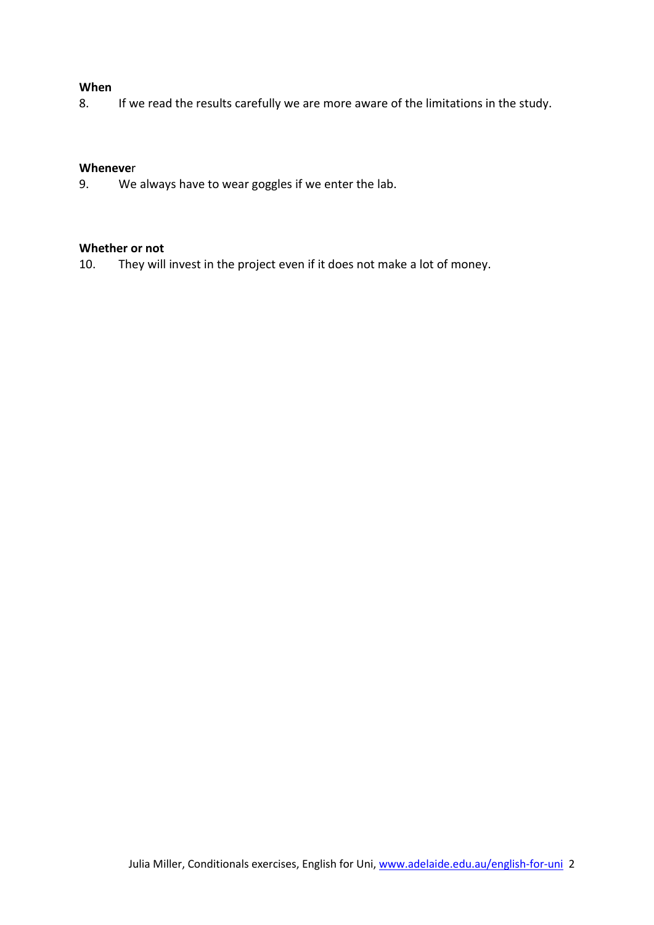### **When**

8. If we read the results carefully we are more aware of the limitations in the study.

### **Wheneve**r

9. We always have to wear goggles if we enter the lab.

## **Whether or not**

10. They will invest in the project even if it does not make a lot of money.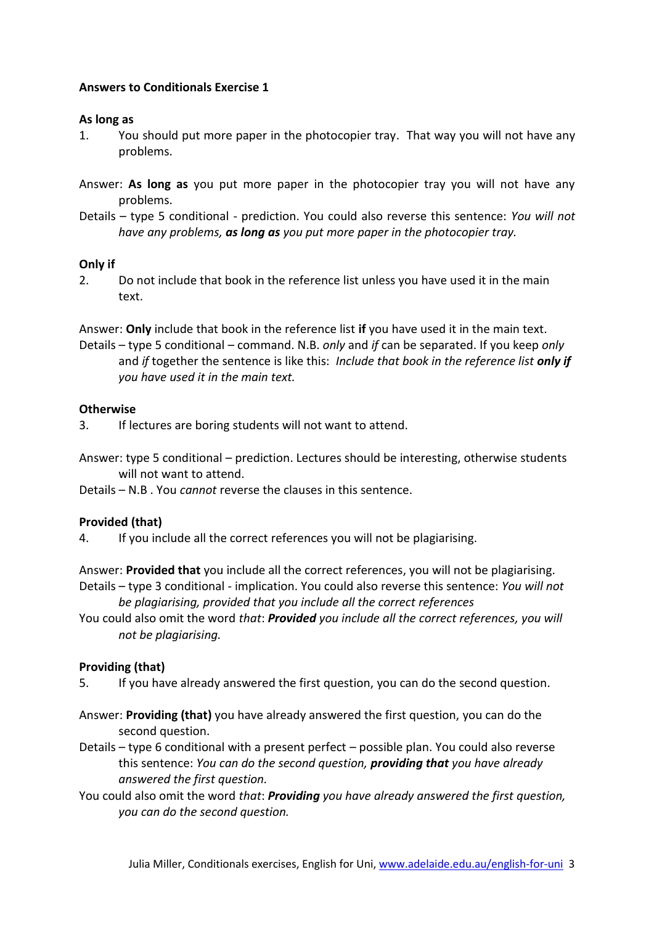## **Answers to Conditionals Exercise 1**

### **As long as**

- 1. You should put more paper in the photocopier tray. That way you will not have any problems.
- Answer: **As long as** you put more paper in the photocopier tray you will not have any problems.
- Details type 5 conditional prediction. You could also reverse this sentence: *You will not have any problems, as long as you put more paper in the photocopier tray.*

## **Only if**

2. Do not include that book in the reference list unless you have used it in the main text.

Answer: **Only** include that book in the reference list **if** you have used it in the main text.

Details – type 5 conditional – command. N.B. *only* and *if* can be separated. If you keep *only* and *if* together the sentence is like this: *Include that book in the reference list only if you have used it in the main text.*

## **Otherwise**

- 3. If lectures are boring students will not want to attend.
- Answer: type 5 conditional prediction. Lectures should be interesting, otherwise students will not want to attend.

Details – N.B . You *cannot* reverse the clauses in this sentence.

# **Provided (that)**

4. If you include all the correct references you will not be plagiarising.

Answer: **Provided that** you include all the correct references, you will not be plagiarising.

- Details type 3 conditional implication. You could also reverse this sentence: *You will not be plagiarising, provided that you include all the correct references*
- You could also omit the word *that*: *Provided you include all the correct references, you will not be plagiarising.*

# **Providing (that)**

- 5. If you have already answered the first question, you can do the second question.
- Answer: **Providing (that)** you have already answered the first question, you can do the second question.
- Details type 6 conditional with a present perfect possible plan. You could also reverse this sentence: *You can do the second question, providing that you have already answered the first question.*
- You could also omit the word *that*: *Providing you have already answered the first question, you can do the second question.*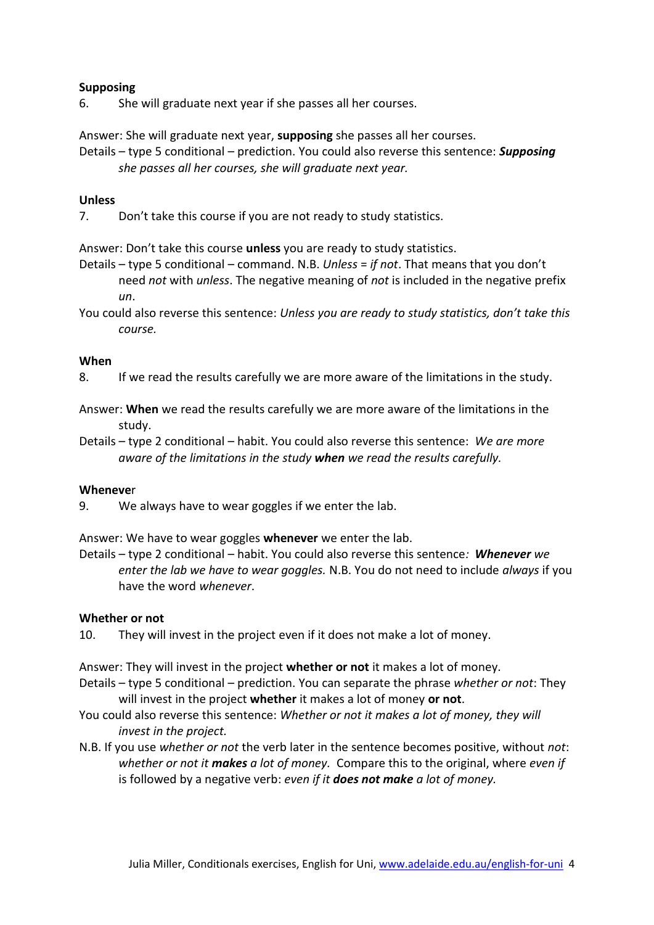## **Supposing**

6. She will graduate next year if she passes all her courses.

Answer: She will graduate next year, **supposing** she passes all her courses.

Details – type 5 conditional – prediction. You could also reverse this sentence: *Supposing she passes all her courses, she will graduate next year.*

### **Unless**

7. Don't take this course if you are not ready to study statistics.

Answer: Don't take this course **unless** you are ready to study statistics.

- Details type 5 conditional command. N.B. *Unless* = *if not*. That means that you don't need *not* with *unless*. The negative meaning of *not* is included in the negative prefix *un*.
- You could also reverse this sentence: *Unless you are ready to study statistics, don't take this course.*

### **When**

- 8. If we read the results carefully we are more aware of the limitations in the study.
- Answer: **When** we read the results carefully we are more aware of the limitations in the study.
- Details type 2 conditional habit. You could also reverse this sentence: *We are more aware of the limitations in the study when we read the results carefully.*

#### **Wheneve**r

9. We always have to wear goggles if we enter the lab.

Answer: We have to wear goggles **whenever** we enter the lab.

Details – type 2 conditional – habit. You could also reverse this sentence*: Whenever we enter the lab we have to wear goggles.* N.B. You do not need to include *always* if you have the word *whenever*.

## **Whether or not**

10. They will invest in the project even if it does not make a lot of money.

Answer: They will invest in the project **whether or not** it makes a lot of money.

- Details type 5 conditional prediction. You can separate the phrase *whether or not*: They will invest in the project **whether** it makes a lot of money **or not**.
- You could also reverse this sentence: *Whether or not it makes a lot of money, they will invest in the project.*
- N.B. If you use *whether or not* the verb later in the sentence becomes positive, without *not*: *whether or not it makes a lot of money.* Compare this to the original, where *even if* is followed by a negative verb: *even if it does not make a lot of money.*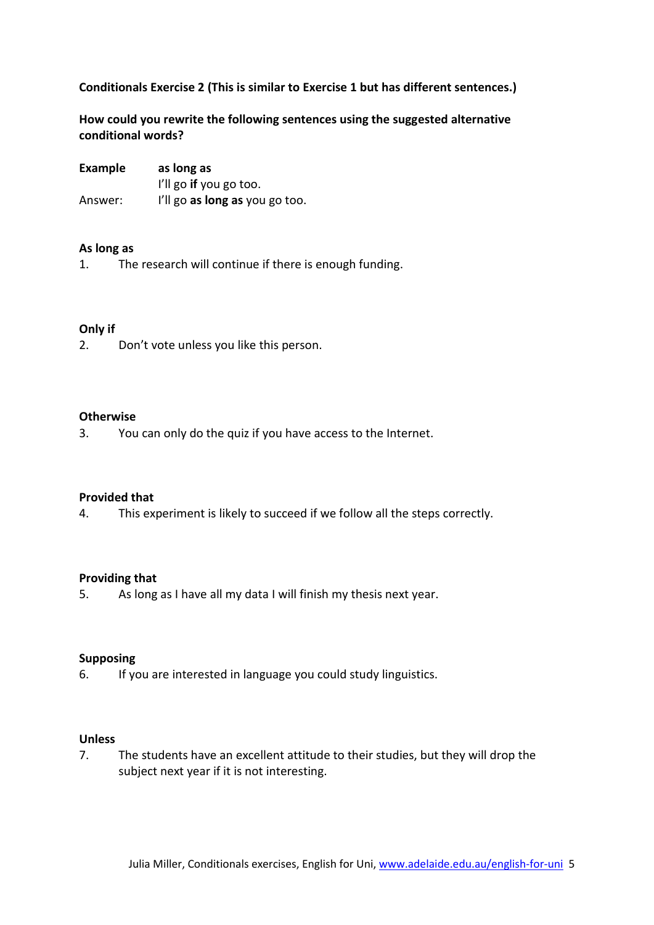## **Conditionals Exercise 2 (This is similar to Exercise 1 but has different sentences.)**

**How could you rewrite the following sentences using the suggested alternative conditional words?**

| Example | as long as                     |
|---------|--------------------------------|
|         | I'll go if you go too.         |
| Answer: | I'll go as long as you go too. |

### **As long as**

1. The research will continue if there is enough funding.

### **Only if**

2. Don't vote unless you like this person.

### **Otherwise**

3. You can only do the quiz if you have access to the Internet.

#### **Provided that**

4. This experiment is likely to succeed if we follow all the steps correctly.

#### **Providing that**

5. As long as I have all my data I will finish my thesis next year.

### **Supposing**

6. If you are interested in language you could study linguistics.

## **Unless**

7. The students have an excellent attitude to their studies, but they will drop the subject next year if it is not interesting.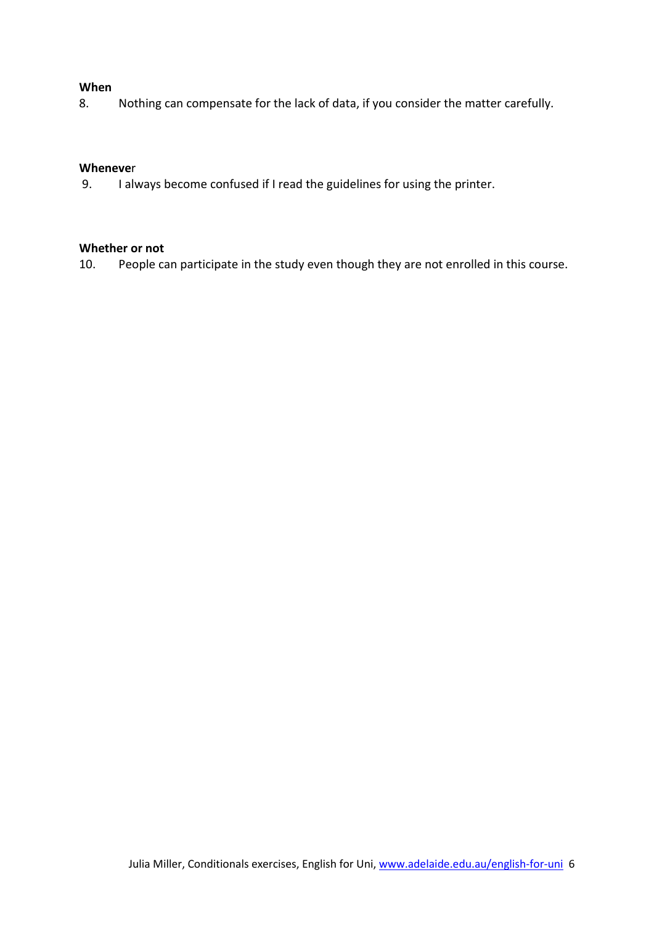### **When**

8. Nothing can compensate for the lack of data, if you consider the matter carefully.

### **Wheneve**r

9. I always become confused if I read the guidelines for using the printer.

## **Whether or not**

10. People can participate in the study even though they are not enrolled in this course.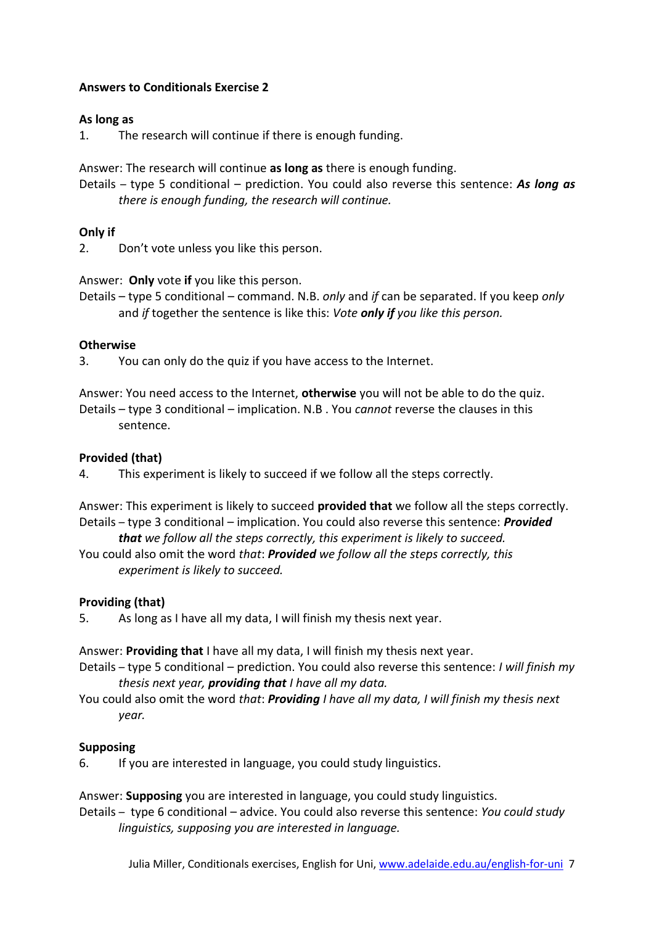# **Answers to Conditionals Exercise 2**

## **As long as**

1. The research will continue if there is enough funding.

Answer: The research will continue **as long as** there is enough funding.

Details – type 5 conditional – prediction. You could also reverse this sentence: *As long as there is enough funding, the research will continue.*

# **Only if**

2. Don't vote unless you like this person.

Answer: **Only** vote **if** you like this person.

Details – type 5 conditional – command. N.B. *only* and *if* can be separated. If you keep *only* and *if* together the sentence is like this: *Vote only if you like this person.*

## **Otherwise**

3. You can only do the quiz if you have access to the Internet.

Answer: You need access to the Internet, **otherwise** you will not be able to do the quiz. Details – type 3 conditional – implication. N.B . You *cannot* reverse the clauses in this sentence.

## **Provided (that)**

4. This experiment is likely to succeed if we follow all the steps correctly.

Answer: This experiment is likely to succeed **provided that** we follow all the steps correctly. Details – type 3 conditional – implication. You could also reverse this sentence: *Provided* 

*that we follow all the steps correctly, this experiment is likely to succeed.*

You could also omit the word *that*: *Provided we follow all the steps correctly, this experiment is likely to succeed.*

# **Providing (that)**

5. As long as I have all my data, I will finish my thesis next year.

Answer: **Providing that** I have all my data, I will finish my thesis next year.

- Details type 5 conditional prediction. You could also reverse this sentence: *I will finish my thesis next year, providing that I have all my data.*
- You could also omit the word *that*: *Providing I have all my data, I will finish my thesis next year.*

# **Supposing**

6. If you are interested in language, you could study linguistics.

Answer: **Supposing** you are interested in language, you could study linguistics.

Details – type 6 conditional – advice. You could also reverse this sentence: *You could study linguistics, supposing you are interested in language.*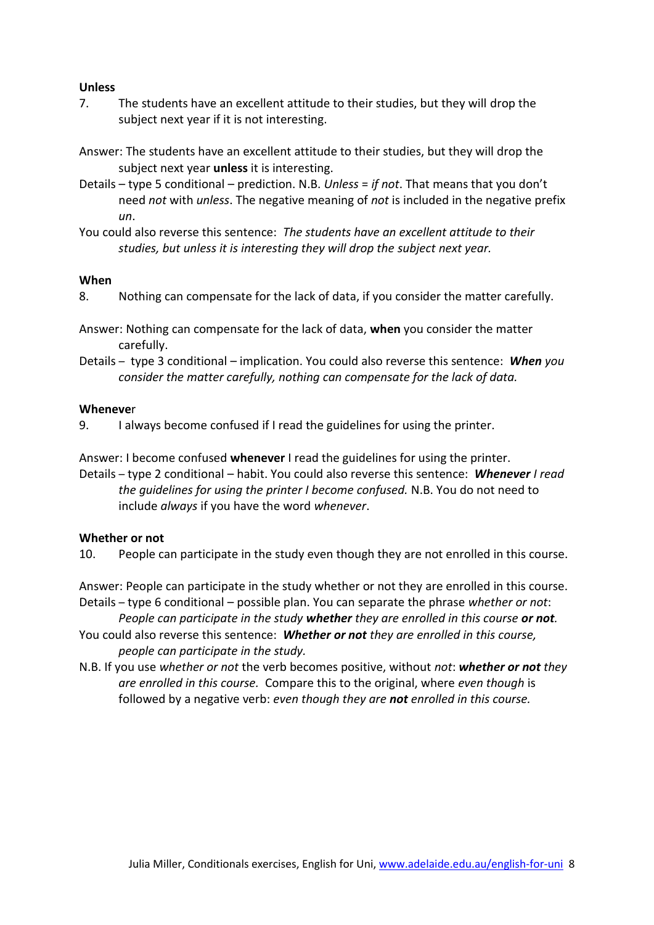### **Unless**

- 7. The students have an excellent attitude to their studies, but they will drop the subject next year if it is not interesting.
- Answer: The students have an excellent attitude to their studies, but they will drop the subject next year **unless** it is interesting.
- Details type 5 conditional prediction. N.B. *Unless* = *if not*. That means that you don't need *not* with *unless*. The negative meaning of *not* is included in the negative prefix *un*.
- You could also reverse this sentence: *The students have an excellent attitude to their studies, but unless it is interesting they will drop the subject next year.*

#### **When**

8. Nothing can compensate for the lack of data, if you consider the matter carefully.

Answer: Nothing can compensate for the lack of data, **when** you consider the matter carefully.

Details – type 3 conditional – implication. You could also reverse this sentence: *When you consider the matter carefully, nothing can compensate for the lack of data.*

### **Wheneve**r

9. I always become confused if I read the guidelines for using the printer.

Answer: I become confused **whenever** I read the guidelines for using the printer. Details – type 2 conditional – habit. You could also reverse this sentence: *Whenever I read the guidelines for using the printer I become confused.* N.B. You do not need to include *always* if you have the word *whenever*.

### **Whether or not**

10. People can participate in the study even though they are not enrolled in this course.

Answer: People can participate in the study whether or not they are enrolled in this course. Details – type 6 conditional – possible plan. You can separate the phrase *whether or not*: *People can participate in the study whether they are enrolled in this course or not.*

- You could also reverse this sentence: *Whether or not they are enrolled in this course, people can participate in the study.*
- N.B. If you use *whether or not* the verb becomes positive, without *not*: *whether or not they are enrolled in this course.* Compare this to the original, where *even though* is followed by a negative verb: *even though they are not enrolled in this course.*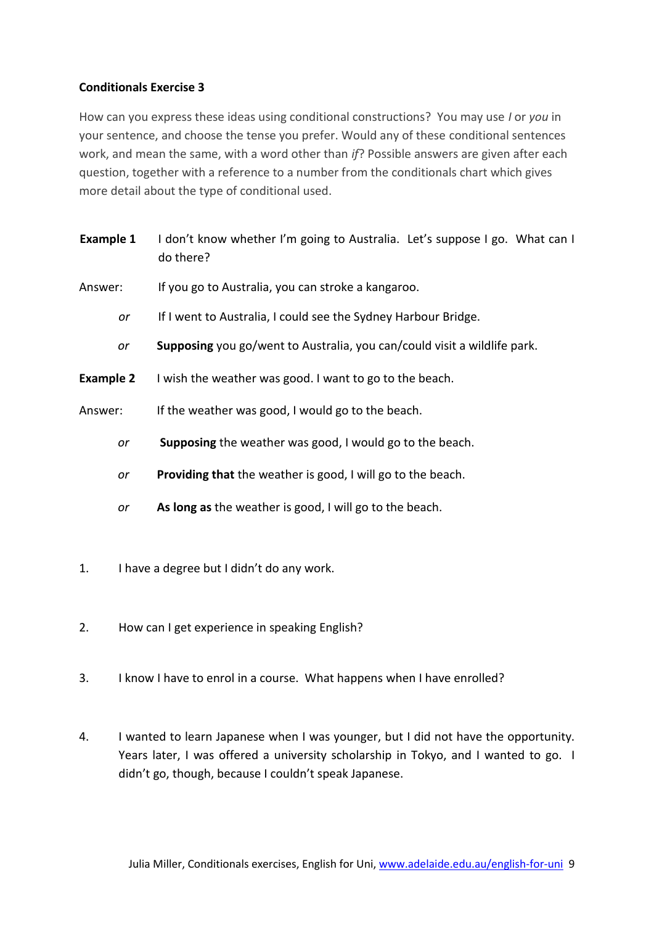# **Conditionals Exercise 3**

How can you express these ideas using conditional constructions? You may use *I* or *you* in your sentence, and choose the tense you prefer. Would any of these conditional sentences work, and mean the same, with a word other than *if*? Possible answers are given after each question, together with a reference to a number from the conditionals chart which gives more detail about the type of conditional used.

- **Example 1** I don't know whether I'm going to Australia. Let's suppose I go. What can I do there?
- Answer: If you go to Australia, you can stroke a kangaroo.
	- *or* If I went to Australia, I could see the Sydney Harbour Bridge.
	- *or* **Supposing** you go/went to Australia, you can/could visit a wildlife park.
- **Example 2** I wish the weather was good. I want to go to the beach.
- Answer: If the weather was good, I would go to the beach.
	- *or* **Supposing** the weather was good, I would go to the beach.
	- *or* **Providing that** the weather is good, I will go to the beach.
	- *or* **As long as** the weather is good, I will go to the beach.
- 1. I have a degree but I didn't do any work.
- 2. How can I get experience in speaking English?
- 3. I know I have to enrol in a course. What happens when I have enrolled?
- 4. I wanted to learn Japanese when I was younger, but I did not have the opportunity. Years later, I was offered a university scholarship in Tokyo, and I wanted to go. I didn't go, though, because I couldn't speak Japanese.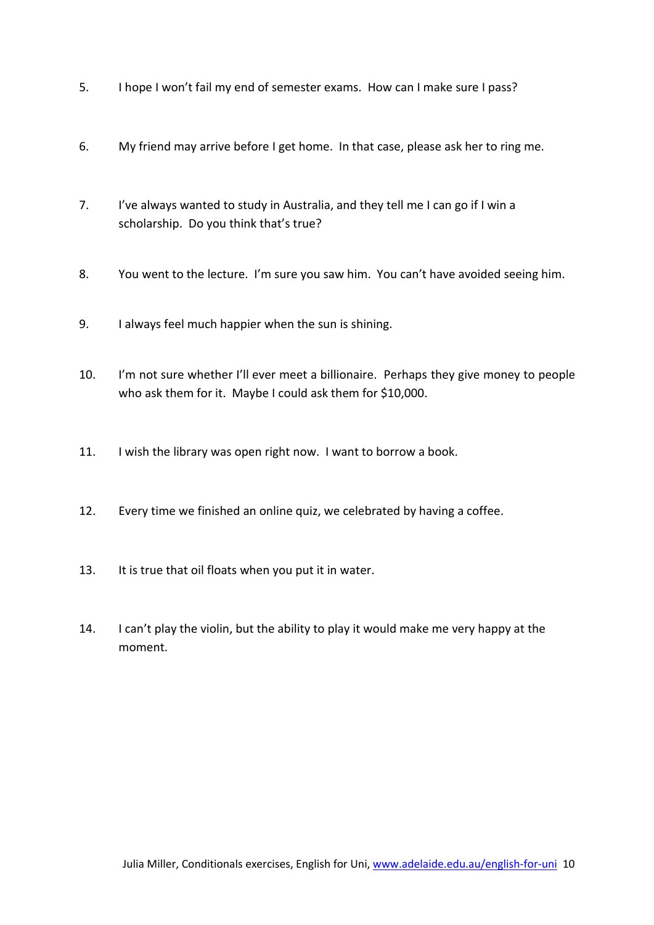- 5. I hope I won't fail my end of semester exams. How can I make sure I pass?
- 6. My friend may arrive before I get home. In that case, please ask her to ring me.
- 7. I've always wanted to study in Australia, and they tell me I can go if I win a scholarship. Do you think that's true?
- 8. You went to the lecture. I'm sure you saw him. You can't have avoided seeing him.
- 9. I always feel much happier when the sun is shining.
- 10. I'm not sure whether I'll ever meet a billionaire. Perhaps they give money to people who ask them for it. Maybe I could ask them for \$10,000.
- 11. I wish the library was open right now. I want to borrow a book.
- 12. Every time we finished an online quiz, we celebrated by having a coffee.
- 13. It is true that oil floats when you put it in water.
- 14. I can't play the violin, but the ability to play it would make me very happy at the moment.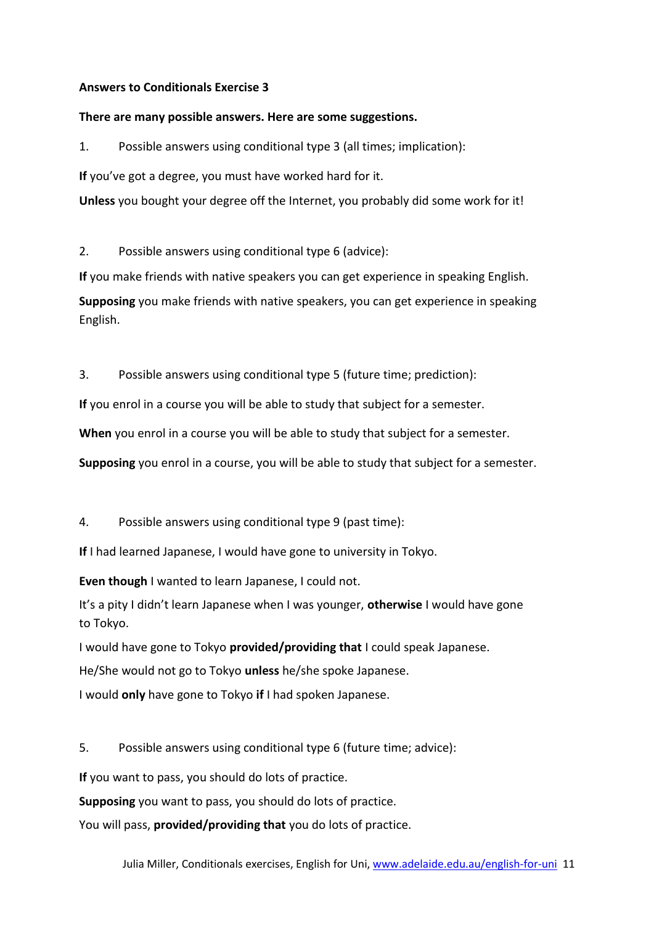## **Answers to Conditionals Exercise 3**

### **There are many possible answers. Here are some suggestions.**

1. Possible answers using conditional type 3 (all times; implication):

**If** you've got a degree, you must have worked hard for it.

**Unless** you bought your degree off the Internet, you probably did some work for it!

2. Possible answers using conditional type 6 (advice):

**If** you make friends with native speakers you can get experience in speaking English.

**Supposing** you make friends with native speakers, you can get experience in speaking English.

3. Possible answers using conditional type 5 (future time; prediction):

**If** you enrol in a course you will be able to study that subject for a semester.

**When** you enrol in a course you will be able to study that subject for a semester.

**Supposing** you enrol in a course, you will be able to study that subject for a semester.

4. Possible answers using conditional type 9 (past time):

**If** I had learned Japanese, I would have gone to university in Tokyo.

**Even though** I wanted to learn Japanese, I could not.

It's a pity I didn't learn Japanese when I was younger, **otherwise** I would have gone to Tokyo.

I would have gone to Tokyo **provided/providing that** I could speak Japanese.

He/She would not go to Tokyo **unless** he/she spoke Japanese.

I would **only** have gone to Tokyo **if** I had spoken Japanese.

5. Possible answers using conditional type 6 (future time; advice):

**If** you want to pass, you should do lots of practice.

**Supposing** you want to pass, you should do lots of practice.

You will pass, **provided/providing that** you do lots of practice.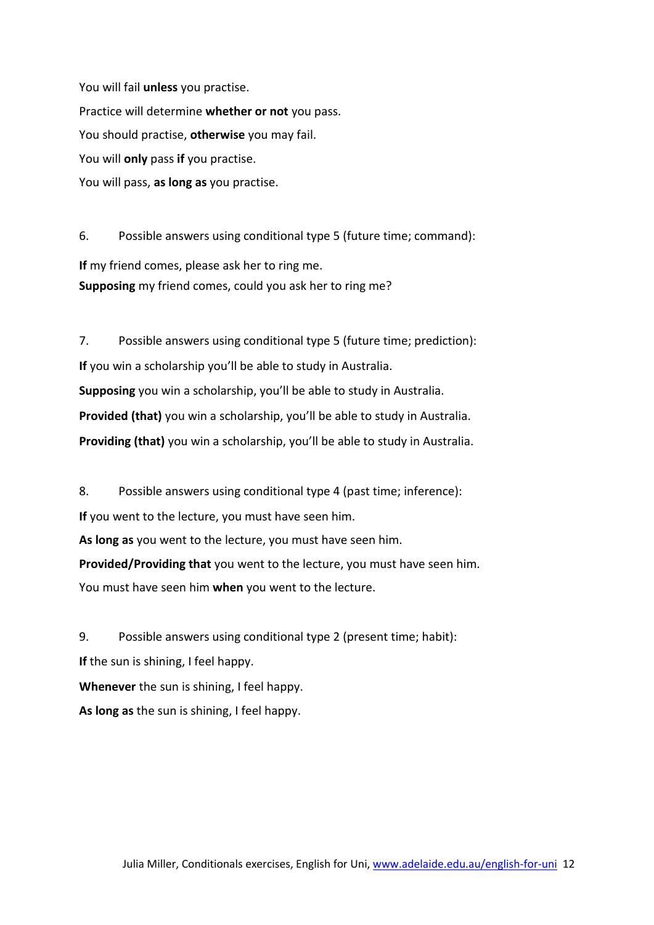You will fail **unless** you practise. Practice will determine **whether or not** you pass. You should practise, **otherwise** you may fail. You will **only** pass **if** you practise. You will pass, **as long as** you practise.

6. Possible answers using conditional type 5 (future time; command): **If** my friend comes, please ask her to ring me. **Supposing** my friend comes, could you ask her to ring me?

7. Possible answers using conditional type 5 (future time; prediction): **If** you win a scholarship you'll be able to study in Australia. **Supposing** you win a scholarship, you'll be able to study in Australia. **Provided (that)** you win a scholarship, you'll be able to study in Australia. **Providing (that)** you win a scholarship, you'll be able to study in Australia.

8. Possible answers using conditional type 4 (past time; inference):

**If** you went to the lecture, you must have seen him.

**As long as** you went to the lecture, you must have seen him.

**Provided/Providing that** you went to the lecture, you must have seen him. You must have seen him **when** you went to the lecture.

9. Possible answers using conditional type 2 (present time; habit): **If** the sun is shining, I feel happy. **Whenever** the sun is shining, I feel happy. **As long as** the sun is shining, I feel happy.